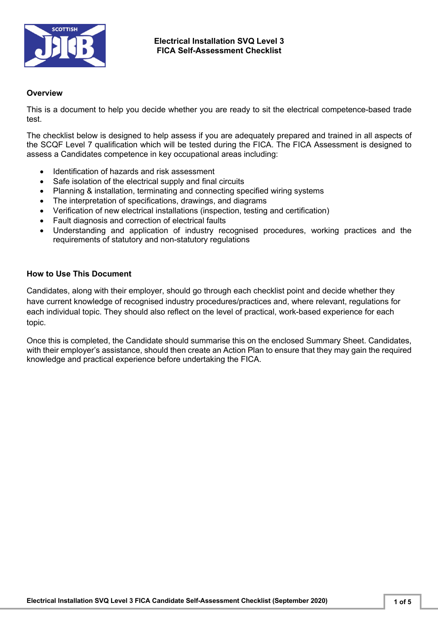

#### **Overview**

This is a document to help you decide whether you are ready to sit the electrical competence-based trade test.

The checklist below is designed to help assess if you are adequately prepared and trained in all aspects of the SCQF Level 7 qualification which will be tested during the FICA. The FICA Assessment is designed to assess a Candidates competence in key occupational areas including:

- Identification of hazards and risk assessment
- Safe isolation of the electrical supply and final circuits
- Planning & installation, terminating and connecting specified wiring systems
- The interpretation of specifications, drawings, and diagrams
- Verification of new electrical installations (inspection, testing and certification)
- Fault diagnosis and correction of electrical faults
- Understanding and application of industry recognised procedures, working practices and the requirements of statutory and non-statutory regulations

#### **How to Use This Document**

Candidates, along with their employer, should go through each checklist point and decide whether they have current knowledge of recognised industry procedures/practices and, where relevant, regulations for each individual topic. They should also reflect on the level of practical, work-based experience for each topic.

Once this is completed, the Candidate should summarise this on the enclosed Summary Sheet. Candidates, with their employer's assistance, should then create an Action Plan to ensure that they may gain the required knowledge and practical experience before undertaking the FICA.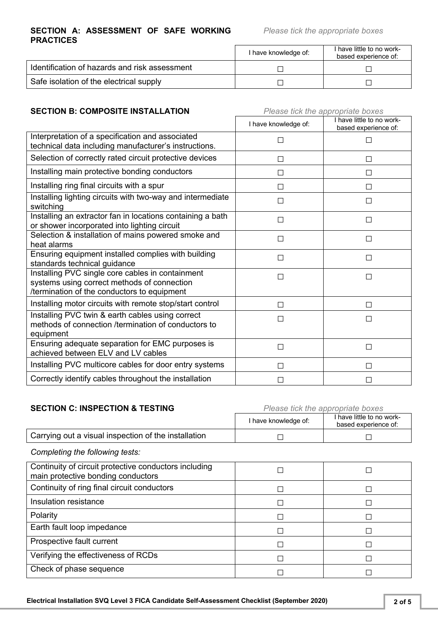#### **SECTION A: ASSESSMENT OF SAFE WORKING PRACTICES**

*Please tick the appropriate boxes*

|                                               | I have knowledge of: | I have little to no work-<br>based experience of: |
|-----------------------------------------------|----------------------|---------------------------------------------------|
| Identification of hazards and risk assessment |                      |                                                   |
| Safe isolation of the electrical supply       |                      |                                                   |

# **SECTION B: COMPOSITE INSTALLATION** *Please tick the appropriate boxes*

|                                                                                                                                                | I have knowledge of: | I have little to no work-<br>based experience of: |
|------------------------------------------------------------------------------------------------------------------------------------------------|----------------------|---------------------------------------------------|
| Interpretation of a specification and associated<br>technical data including manufacturer's instructions.                                      | $\Box$               | П                                                 |
| Selection of correctly rated circuit protective devices                                                                                        | $\mathsf{L}$         | П                                                 |
| Installing main protective bonding conductors                                                                                                  |                      | П                                                 |
| Installing ring final circuits with a spur                                                                                                     | $\Box$               | П                                                 |
| Installing lighting circuits with two-way and intermediate<br>switching                                                                        |                      | П                                                 |
| Installing an extractor fan in locations containing a bath<br>or shower incorporated into lighting circuit                                     | П                    | □                                                 |
| Selection & installation of mains powered smoke and<br>heat alarms                                                                             | П                    | П                                                 |
| Ensuring equipment installed complies with building<br>standards technical guidance                                                            | П                    | П                                                 |
| Installing PVC single core cables in containment<br>systems using correct methods of connection<br>/termination of the conductors to equipment |                      | $\Box$                                            |
| Installing motor circuits with remote stop/start control                                                                                       |                      | П                                                 |
| Installing PVC twin & earth cables using correct<br>methods of connection /termination of conductors to<br>equipment                           | $\Box$               | □                                                 |
| Ensuring adequate separation for EMC purposes is<br>achieved between ELV and LV cables                                                         | П                    | □                                                 |
| Installing PVC multicore cables for door entry systems                                                                                         | $\mathsf{L}$         | П                                                 |
| Correctly identify cables throughout the installation                                                                                          |                      | П                                                 |

## **SECTION C: INSPECTION & TESTING** *Please tick the appropriate boxes*

|                                                      | I have knowledge of: | I have little to no work-<br>based experience of: |
|------------------------------------------------------|----------------------|---------------------------------------------------|
| Carrying out a visual inspection of the installation |                      |                                                   |

*Completing the following tests:*

| Continuity of circuit protective conductors including<br>main protective bonding conductors |  |
|---------------------------------------------------------------------------------------------|--|
| Continuity of ring final circuit conductors                                                 |  |
| Insulation resistance                                                                       |  |
| Polarity                                                                                    |  |
| Earth fault loop impedance                                                                  |  |
| Prospective fault current                                                                   |  |
| Verifying the effectiveness of RCDs                                                         |  |
| Check of phase sequence                                                                     |  |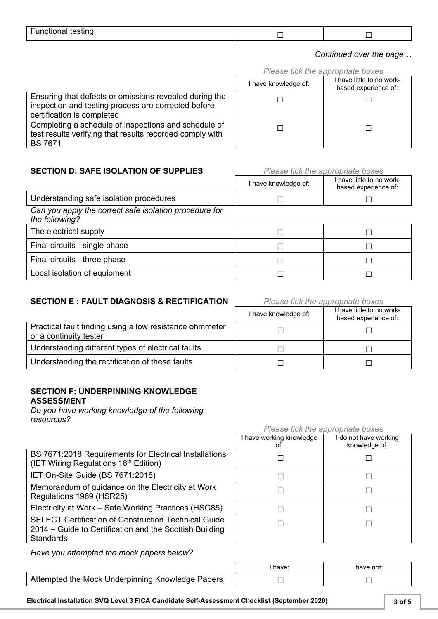| <b>Functional testing</b> |  |  |
|---------------------------|--|--|
|---------------------------|--|--|

#### *Continued over the page…*

*Please tick the appropriate boxes*

|                                                                                                                                             | <b><i>Production the appropriate boxed</i></b> |                                                   |
|---------------------------------------------------------------------------------------------------------------------------------------------|------------------------------------------------|---------------------------------------------------|
|                                                                                                                                             | I have knowledge of:                           | I have little to no work-<br>based experience of: |
| Ensuring that defects or omissions revealed during the<br>inspection and testing process are corrected before<br>certification is completed |                                                |                                                   |
| Completing a schedule of inspections and schedule of<br>test results verifying that results recorded comply with<br><b>BS 7671</b>          |                                                |                                                   |

#### **SECTION D: SAFE ISOLATION OF SUPPLIES** *Please tick the appropriate boxes*

|                                                                          | I have knowledge of: | I have little to no work-<br>based experience of: |
|--------------------------------------------------------------------------|----------------------|---------------------------------------------------|
| Understanding safe isolation procedures                                  |                      |                                                   |
| Can you apply the correct safe isolation procedure for<br>the following? |                      |                                                   |
| The electrical supply                                                    |                      |                                                   |

| The electrical supply         |  |
|-------------------------------|--|
| Final circuits - single phase |  |
| Final circuits - three phase  |  |
| Local isolation of equipment  |  |

## **SECTION E : FAULT DIAGNOSIS & RECTIFICATION** *Please tick the appropriate boxes*

|                                                                                   | I have knowledge of: | I have little to no work-<br>based experience of: |
|-----------------------------------------------------------------------------------|----------------------|---------------------------------------------------|
| Practical fault finding using a low resistance ohmmeter<br>or a continuity tester |                      |                                                   |
| Understanding different types of electrical faults                                |                      |                                                   |
| Understanding the rectification of these faults                                   |                      |                                                   |

## **SECTION F: UNDERPINNING KNOWLEDGE ASSESSMENT**

*Do you have working knowledge of the following resources?*

|                                                                                                                                            | Please tick the appropriate boxes |                                      |
|--------------------------------------------------------------------------------------------------------------------------------------------|-----------------------------------|--------------------------------------|
|                                                                                                                                            | I have working knowledge<br>ot:   | do not have working<br>knowledge of: |
| BS 7671:2018 Requirements for Electrical Installations<br>(IET Wiring Regulations 18 <sup>th</sup> Edition)                                |                                   |                                      |
| IET On-Site Guide (BS 7671:2018)                                                                                                           |                                   | П                                    |
| Memorandum of guidance on the Electricity at Work<br>Regulations 1989 (HSR25)                                                              |                                   |                                      |
| Electricity at Work - Safe Working Practices (HSG85)                                                                                       |                                   | □                                    |
| <b>SELECT Certification of Construction Technical Guide</b><br>2014 – Guide to Certification and the Scottish Building<br><b>Standards</b> |                                   |                                      |

*Have you attempted the mock papers below?*

|                                                  | have: | have not: |
|--------------------------------------------------|-------|-----------|
| Attempted the Mock Underpinning Knowledge Papers |       |           |

**Electrical Installation SVQ Level 3 FICA Candidate Self-Assessment Checklist (September 2020) 3 of 5**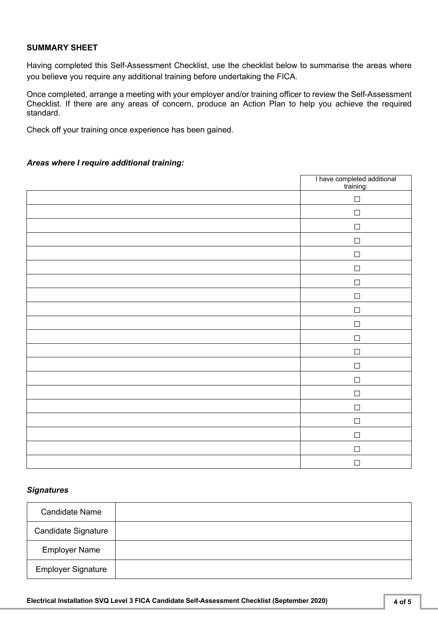### **SUMMARY SHEET**

Having completed this Self-Assessment Checklist, use the checklist below to summarise the areas where you believe you require any additional training before undertaking the FICA.

Once completed, arrange a meeting with your employer and/or training officer to review the Self-Assessment Checklist. If there are any areas of concern, produce an Action Plan to help you achieve the required standard.

Check off your training once experience has been gained.

### *Areas where I require additional training:*

| I have completed additional<br>training: |
|------------------------------------------|
| $\Box$                                   |
| $\Box$                                   |
| $\Box$                                   |
| $\Box$                                   |
| $\Box$                                   |
| $\Box$                                   |
| $\Box$                                   |
| $\Box$                                   |
| $\Box$                                   |
| $\Box$                                   |
| $\Box$                                   |
| $\Box$                                   |
| $\Box$                                   |
| $\Box$                                   |
| $\Box$                                   |
| $\Box$                                   |
| $\Box$                                   |
| $\Box$                                   |
| $\Box$                                   |
| $\Box$                                   |

#### *Signatures*

| <b>Candidate Name</b>      |  |
|----------------------------|--|
| <b>Candidate Signature</b> |  |
| <b>Employer Name</b>       |  |
| <b>Employer Signature</b>  |  |